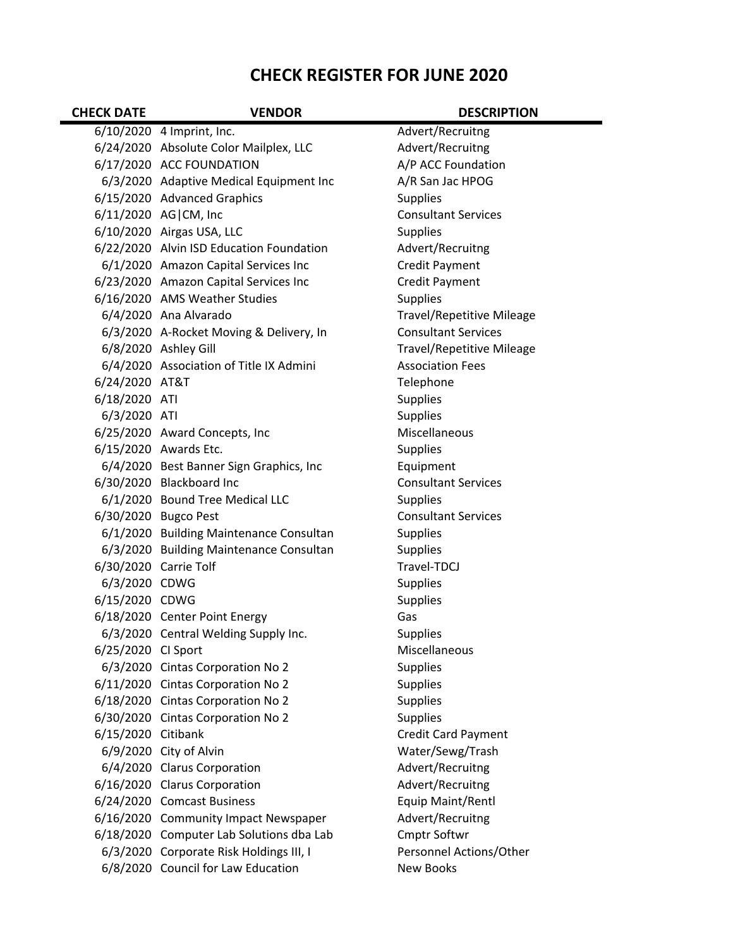## **CHECK REGISTER FOR JUNE 2020**

| <b>CHECK DATE</b>     | <b>VENDOR</b>                            | <b>DESCRIPTION</b>               |
|-----------------------|------------------------------------------|----------------------------------|
|                       | 6/10/2020 4 Imprint, Inc.                | Advert/Recruitng                 |
|                       | 6/24/2020 Absolute Color Mailplex, LLC   | Advert/Recruitng                 |
|                       | 6/17/2020 ACC FOUNDATION                 | A/P ACC Foundation               |
|                       | 6/3/2020 Adaptive Medical Equipment Inc  | A/R San Jac HPOG                 |
|                       | 6/15/2020 Advanced Graphics              | <b>Supplies</b>                  |
|                       | 6/11/2020 AG CM, Inc                     | <b>Consultant Services</b>       |
|                       | 6/10/2020 Airgas USA, LLC                | Supplies                         |
|                       | 6/22/2020 Alvin ISD Education Foundation | Advert/Recruitng                 |
|                       | 6/1/2020 Amazon Capital Services Inc     | Credit Payment                   |
|                       | 6/23/2020 Amazon Capital Services Inc    | Credit Payment                   |
|                       | 6/16/2020 AMS Weather Studies            | <b>Supplies</b>                  |
|                       | 6/4/2020 Ana Alvarado                    | <b>Travel/Repetitive Mileage</b> |
|                       | 6/3/2020 A-Rocket Moving & Delivery, In  | <b>Consultant Services</b>       |
|                       | 6/8/2020 Ashley Gill                     | <b>Travel/Repetitive Mileage</b> |
|                       | 6/4/2020 Association of Title IX Admini  | <b>Association Fees</b>          |
| 6/24/2020 AT&T        |                                          | Telephone                        |
| 6/18/2020 ATI         |                                          | <b>Supplies</b>                  |
| 6/3/2020 ATI          |                                          | <b>Supplies</b>                  |
|                       | 6/25/2020 Award Concepts, Inc            | Miscellaneous                    |
|                       | 6/15/2020 Awards Etc.                    | <b>Supplies</b>                  |
|                       | 6/4/2020 Best Banner Sign Graphics, Inc  | Equipment                        |
|                       | 6/30/2020 Blackboard Inc                 | <b>Consultant Services</b>       |
|                       | 6/1/2020 Bound Tree Medical LLC          | <b>Supplies</b>                  |
|                       | 6/30/2020 Bugco Pest                     | <b>Consultant Services</b>       |
|                       | 6/1/2020 Building Maintenance Consultan  | Supplies                         |
|                       | 6/3/2020 Building Maintenance Consultan  | <b>Supplies</b>                  |
| 6/30/2020 Carrie Tolf |                                          | Travel-TDCJ                      |
| 6/3/2020 CDWG         |                                          | <b>Supplies</b>                  |
| 6/15/2020 CDWG        |                                          | <b>Supplies</b>                  |
|                       | 6/18/2020 Center Point Energy            | Gas                              |
|                       | 6/3/2020 Central Welding Supply Inc.     | Supplies                         |
| 6/25/2020 Cl Sport    |                                          | Miscellaneous                    |
|                       | 6/3/2020 Cintas Corporation No 2         | <b>Supplies</b>                  |
|                       | 6/11/2020 Cintas Corporation No 2        | <b>Supplies</b>                  |
|                       | 6/18/2020 Cintas Corporation No 2        | <b>Supplies</b>                  |
|                       | 6/30/2020 Cintas Corporation No 2        | <b>Supplies</b>                  |
| 6/15/2020 Citibank    |                                          | <b>Credit Card Payment</b>       |
|                       | 6/9/2020 City of Alvin                   | Water/Sewg/Trash                 |
|                       | 6/4/2020 Clarus Corporation              | Advert/Recruitng                 |
|                       | 6/16/2020 Clarus Corporation             | Advert/Recruitng                 |
|                       | 6/24/2020 Comcast Business               | Equip Maint/Rentl                |
|                       | 6/16/2020 Community Impact Newspaper     | Advert/Recruitng                 |
|                       | 6/18/2020 Computer Lab Solutions dba Lab | <b>Cmptr Softwr</b>              |
|                       | 6/3/2020 Corporate Risk Holdings III, I  | Personnel Actions/Other          |
|                       | 6/8/2020 Council for Law Education       | New Books                        |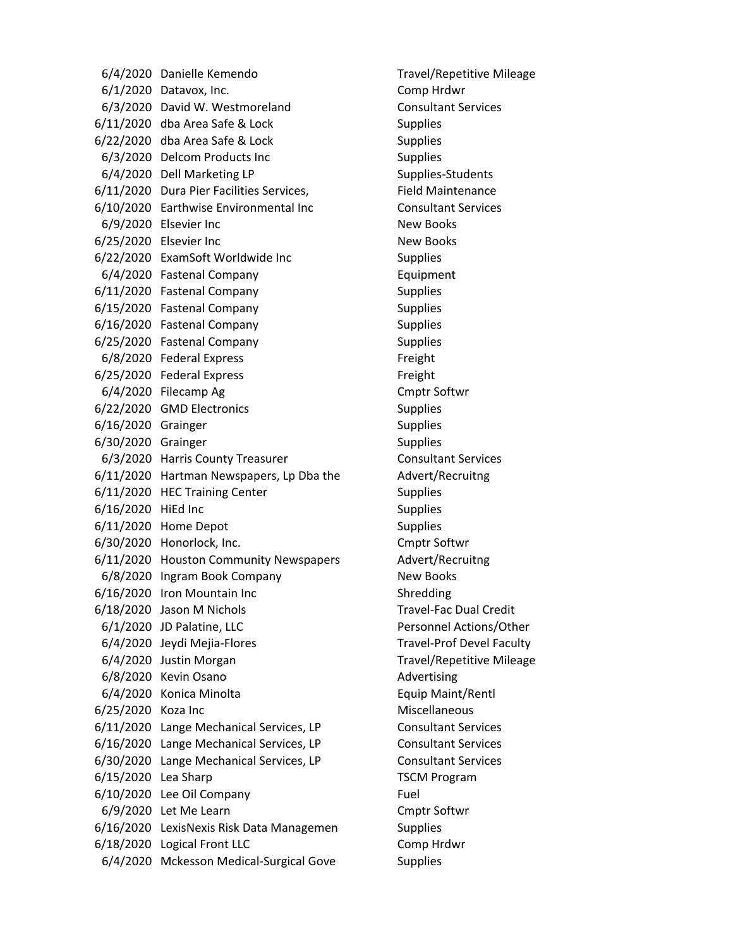6/4/2020 Danielle Kemendo Travel/Repetitive Mileage 6/1/2020 Datavox, Inc. Comp Hrdwr 6/3/2020 David W. Westmoreland Consultant Services 6/11/2020 dba Area Safe & Lock Supplies 6/22/2020 dba Area Safe & Lock Supplies 6/3/2020 Delcom Products Inc Supplies 6/4/2020 Dell Marketing LP Supplies-Students 6/11/2020 Dura Pier Facilities Services, Field Maintenance 6/10/2020 Earthwise Environmental Inc Consultant Services 6/9/2020 Elsevier Inc New Books 6/25/2020 Elsevier Inc **New Books** 6/22/2020 ExamSoft Worldwide Inc Supplies 6/4/2020 Fastenal Company Equipment 6/11/2020 Fastenal Company Supplies 6/15/2020 Fastenal Company Supplies 6/16/2020 Fastenal Company Supplies 6/25/2020 Fastenal Company Supplies 6/8/2020 Federal Express Freight 6/25/2020 Federal Express Freight 6/4/2020 Filecamp Ag Cmptr Softwr 6/22/2020 GMD Electronics Supplies 6/16/2020 Grainger Supplies 6/30/2020 Grainger Supplies 6/3/2020 Harris County Treasurer Consultant Services 6/11/2020 Hartman Newspapers, Lp Dba the Advert/Recruitng 6/11/2020 HEC Training Center Supplies 6/16/2020 HiEd Inc Supplies 6/11/2020 Home Depot Supplies 6/30/2020 Honorlock, Inc. Cmptr Softwr 6/11/2020 Houston Community Newspapers Advert/Recruitng 6/8/2020 Ingram Book Company New Books 6/16/2020 Iron Mountain Inc Shredding 6/18/2020 Jason M Nichols Travel‐Fac Dual Credit 6/1/2020 JD Palatine, LLC Personnel Actions/Other 6/4/2020 Jeydi Mejia-Flores Travel-Prof Devel Faculty 6/4/2020 Justin Morgan Travel/Repetitive Mileage 6/8/2020 Kevin Osano **Advertising** 6/4/2020 Konica Minolta Equip Maint/Rentl 6/25/2020 Koza Inc **Miscellaneous** 6/11/2020 Lange Mechanical Services, LP Consultant Services 6/16/2020 Lange Mechanical Services, LP Consultant Services 6/30/2020 Lange Mechanical Services, LP Consultant Services 6/15/2020 Lea Sharp TSCM Program 6/10/2020 Lee Oil Company Fuel 6/9/2020 Let Me Learn Cmptr Softwr 6/16/2020 LexisNexis Risk Data Managemen Supplies 6/18/2020 Logical Front LLC Comp Hrdwr 6/4/2020 Mckesson Medical-Surgical Gove Supplies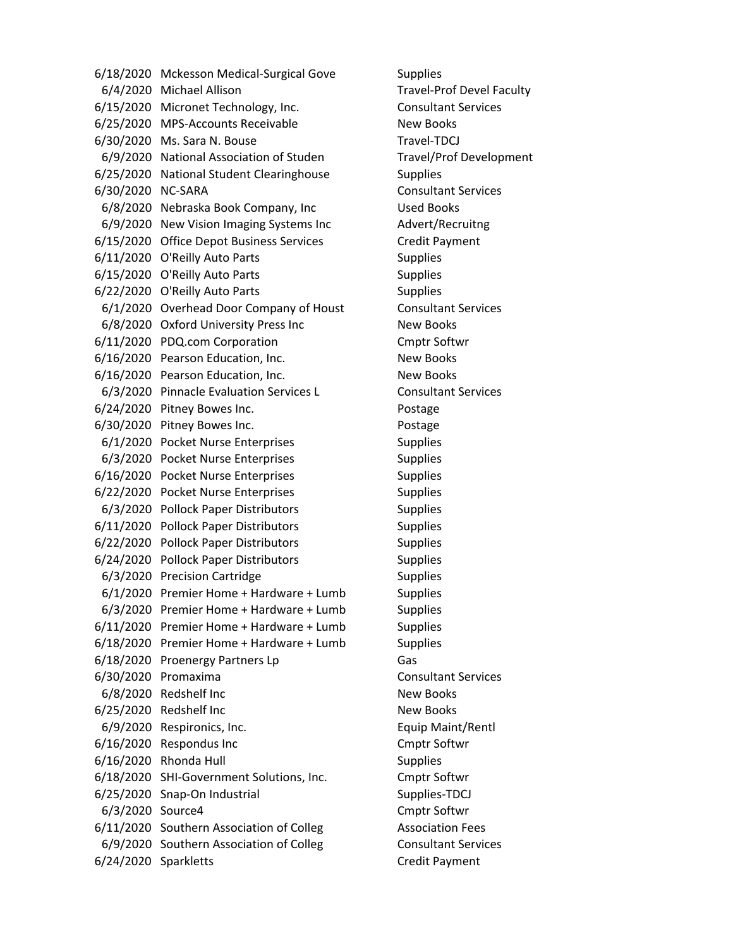6/18/2020 Mckesson Medical-Surgical Gove Supplies 6/4/2020 Michael Allison Travel‐Prof Devel Faculty 6/15/2020 Micronet Technology, Inc. Consultant Services 6/25/2020 MPS‐Accounts Receivable New Books 6/30/2020 Ms. Sara N. Bouse Travel-TDCJ 6/9/2020 National Association of Studen Travel/Prof Development 6/25/2020 National Student Clearinghouse Supplies 6/30/2020 NC‐SARA Consultant Services 6/8/2020 Nebraska Book Company, Inc Used Books 6/9/2020 New Vision Imaging Systems Inc Advert/Recruitng 6/15/2020 Office Depot Business Services Credit Payment 6/11/2020 O'Reilly Auto Parts Supplies 6/15/2020 O'Reilly Auto Parts Supplies 6/22/2020 O'Reilly Auto Parts Supplies 6/1/2020 Overhead Door Company of Houst Consultant Services 6/8/2020 Oxford University Press Inc New Books 6/11/2020 PDQ.com Corporation Cmptr Softwr 6/16/2020 Pearson Education, Inc. New Books 6/16/2020 Pearson Education, Inc. New Books 6/3/2020 Pinnacle Evaluation Services L Consultant Services 6/24/2020 Pitney Bowes Inc. Postage 6/30/2020 Pitney Bowes Inc. The contract of the Postage 6/1/2020 Pocket Nurse Enterprises Supplies 6/3/2020 Pocket Nurse Enterprises Supplies 6/16/2020 Pocket Nurse Enterprises Supplies 6/22/2020 Pocket Nurse Enterprises Supplies 6/3/2020 Pollock Paper Distributors Supplies 6/11/2020 Pollock Paper Distributors Supplies 6/22/2020 Pollock Paper Distributors Supplies 6/24/2020 Pollock Paper Distributors Supplies 6/3/2020 Precision Cartridge Supplies  $6/1/2020$  Premier Home + Hardware + Lumb Supplies 6/3/2020 Premier Home + Hardware + Lumb Supplies 6/11/2020 Premier Home + Hardware + Lumb Supplies 6/18/2020 Premier Home + Hardware + Lumb Supplies 6/18/2020 Proenergy Partners Lp Gas 6/30/2020 Promaxima Consultant Services 6/8/2020 Redshelf Inc New Books 6/25/2020 Redshelf Inc New Books 6/9/2020 Respironics, Inc. **Equip Maint/Rentl** 6/16/2020 Respondus Inc Cmptr Softwr 6/16/2020 Rhonda Hull Supplies 6/18/2020 SHI‐Government Solutions, Inc. Cmptr Softwr 6/25/2020 Snap-On Industrial Supplies-TDCJ 6/3/2020 Source4 Cmptr Softwr 6/11/2020 Southern Association of Colleg Association Fees 6/9/2020 Southern Association of Colleg Consultant Services 6/24/2020 Sparkletts Credit Payment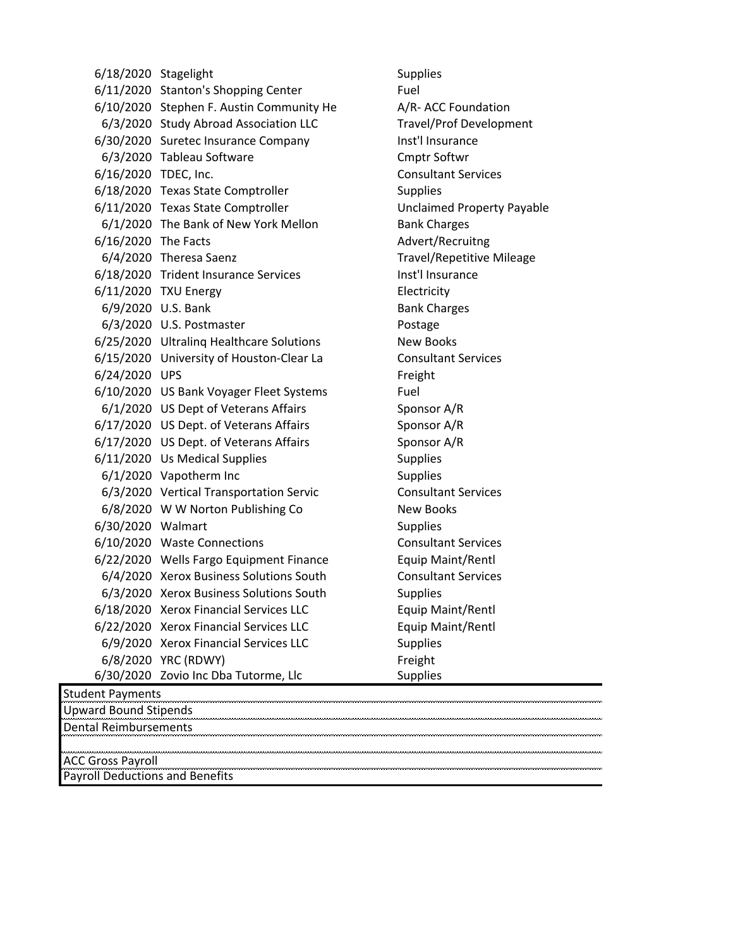6/18/2020 Stagelight Supplies 6/11/2020 Stanton's Shopping Center Fuel 6/10/2020 Stephen F. Austin Community He A/R-ACC Foundation 6/3/2020 Study Abroad Association LLC Travel/Prof Development 6/30/2020 Suretec Insurance Company Inst'l Insurance 6/3/2020 Tableau Software Cmptr Softwr 6/16/2020 TDEC, Inc. Consultant Services 6/18/2020 Texas State Comptroller Supplies 6/11/2020 Texas State Comptroller Unclaimed Property Payable 6/1/2020 The Bank of New York Mellon Bank Charges 6/16/2020 The Facts Advert/Recruitng 6/4/2020 Theresa Saenz Travel/Repetitive Mileage 6/18/2020 Trident Insurance Services Inst'l Insurance 6/11/2020 TXU Energy Electricity 6/9/2020 U.S. Bank Bank Charges 6/3/2020 U.S. Postmaster **Postage** 6/25/2020 Ultralinq Healthcare Solutions New Books 6/15/2020 University of Houston‐Clear La Consultant Services 6/24/2020 UPS Freight 6/10/2020 US Bank Voyager Fleet Systems Fuel 6/1/2020 US Dept of Veterans Affairs Sponsor A/R  $6/17/2020$  US Dept. of Veterans Affairs Sponsor A/R 6/17/2020 US Dept. of Veterans Affairs Sponsor A/R 6/11/2020 Us Medical Supplies Supplies Supplies 6/1/2020 Vapotherm Inc Supplies 6/3/2020 Vertical Transportation Servic Consultant Services 6/8/2020 W W Norton Publishing Co New Books 6/30/2020 Walmart Supplies 6/10/2020 Waste Connections Consultant Services 6/22/2020 Wells Fargo Equipment Finance Equip Maint/Rentl 6/4/2020 Xerox Business Solutions South Consultant Services 6/3/2020 Xerox Business Solutions South Supplies 6/18/2020 Xerox Financial Services LLC Equip Maint/Rentl 6/22/2020 Xerox Financial Services LLC Equip Maint/Rentl 6/9/2020 Xerox Financial Services LLC Supplies 6/8/2020 YRC (RDWY) Freight 6/30/2020 Zovio Inc Dba Tutorme, Llc Supplies

Student Payments Upward Bound Stipends Dental Reimbursements ACC Gross Payroll Payroll Deductions and Benefits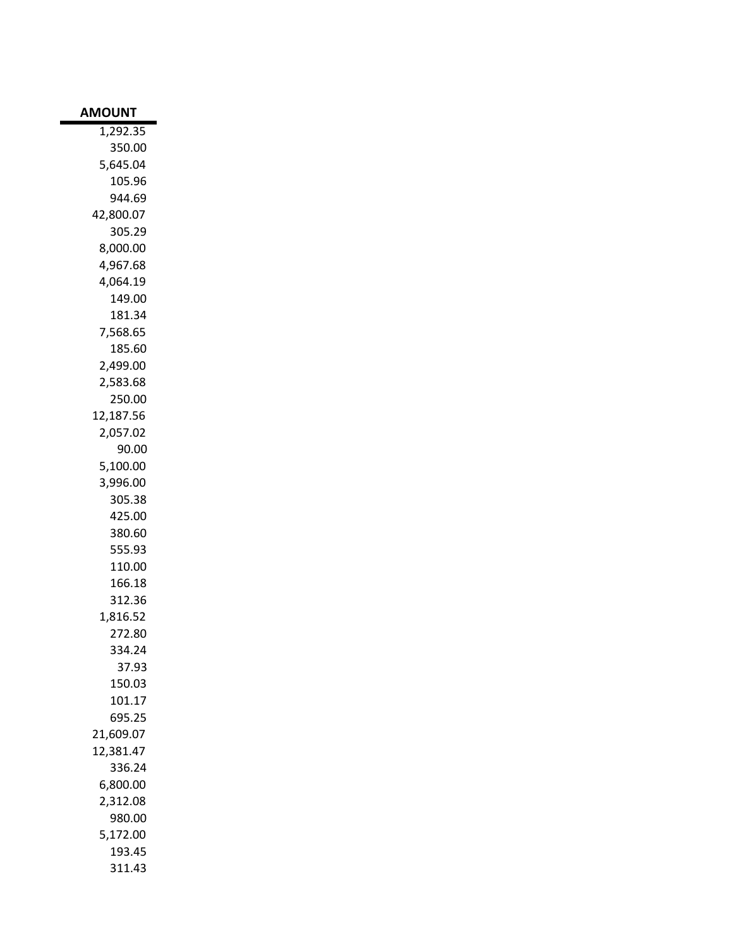| <b>AMOUNT</b>      |
|--------------------|
| 1,292.35           |
| 350.00             |
| 5,645.04           |
| 105.96             |
| 944.69             |
| 42,800.07          |
| 305.29             |
| 8,000.00           |
| 4,967.68           |
| 4,064.19           |
| 149.00             |
| 181.34             |
| 7,568.65           |
| 185.60             |
| 2,499.00           |
| 2,583.68<br>250.00 |
| 12,187.56          |
| 2,057.02           |
| 90.00              |
| 5,100.00           |
| 3,996.00           |
| 305.38             |
| 425.00             |
| 380.60             |
| 555.93             |
| 110.00             |
| 166.18             |
| 312.36             |
| 1,816.52           |
| 272.80             |
| 334.24             |
| 37.93              |
| 150.03             |
| 101.17             |
| 695.25             |
| 21,609.07          |
| 12,381.47          |
| 336.24             |
| 6,800.00           |
| 2,312.08           |
| 980.00             |
| 5,172.00           |
| 193.45             |
| 311.43             |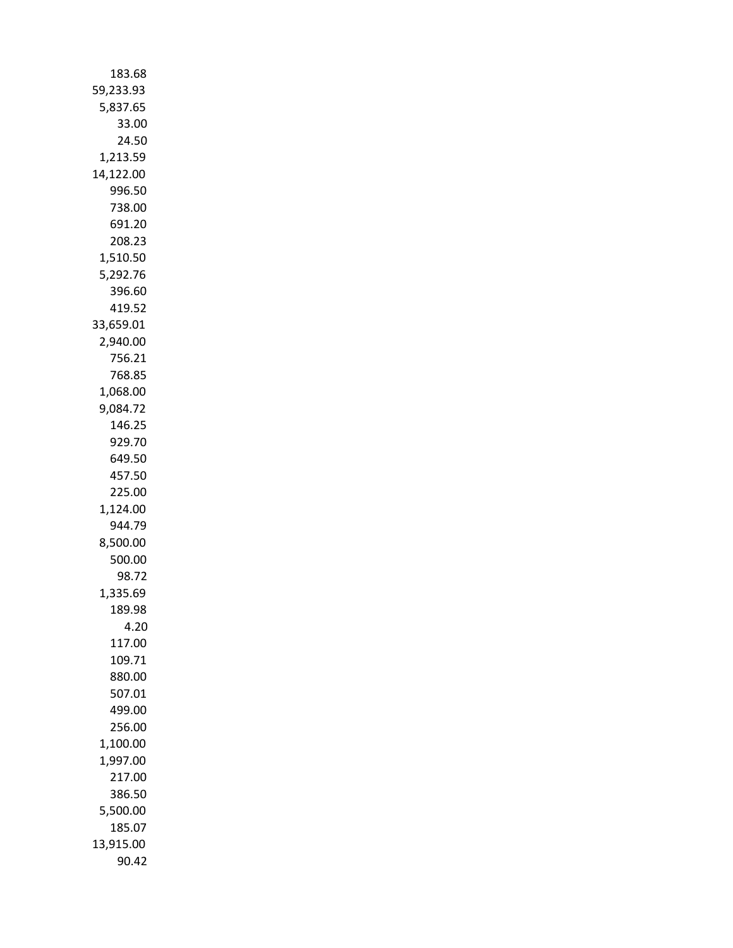| 183.68             |
|--------------------|
| 59,233.93          |
| 5,837.65           |
| 33.00              |
| 24.50              |
| 1,213.59           |
| 14,122.00          |
| 996.50             |
| 738.00             |
| 691.20             |
| 208.23             |
| 1,510.50           |
| 5,292.76<br>396.60 |
| 419.52             |
| 33,659.01          |
| 2,940.00           |
| 756.21             |
| 768.85             |
| 1,068.00           |
| 9,084.72           |
| 146.25             |
| 929.70             |
| 649.50             |
| 457.50             |
| 225.00             |
| 1,124.00           |
| 944.79             |
| 8,500.00           |
| 500.00             |
| 98.72              |
| 1,335.69           |
| 189.98             |
| 4.20               |
| 117.00<br>109.71   |
| 880.00             |
| 507.01             |
| 499.00             |
| 256.00             |
| 1,100.00           |
| 1,997.00           |
| 217.00             |
| 386.50             |
| 5,500.00           |
| 185.07             |
| 13,915.00          |
| 90.42              |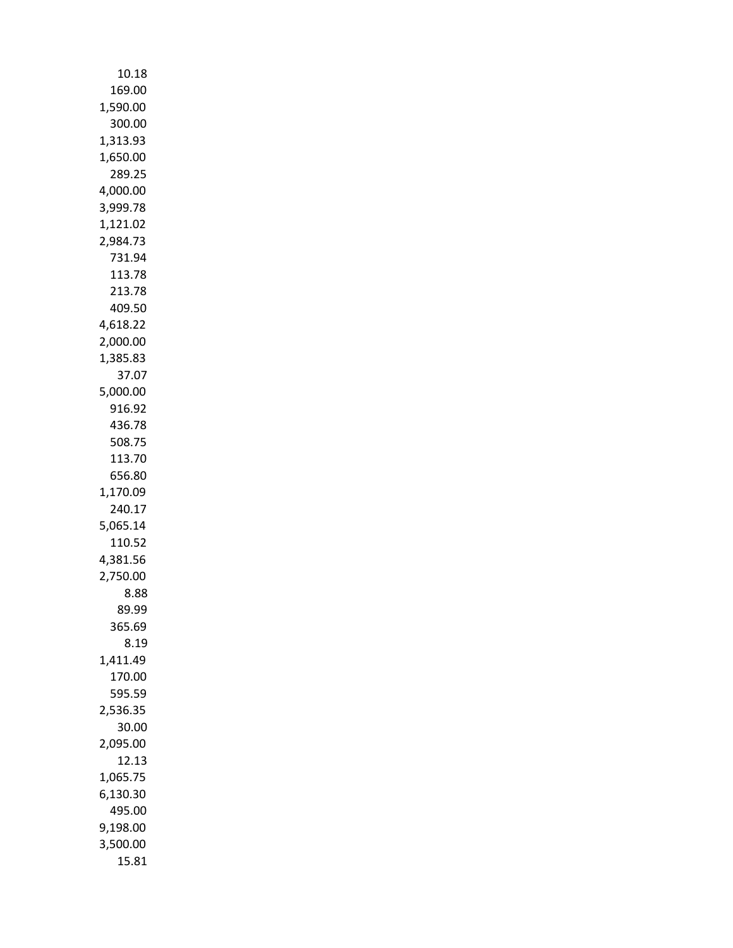| 10.18              |
|--------------------|
| 169.00             |
| 1,590.00           |
| 300.00             |
| 1,313.93           |
| 1,650.00           |
| 289.25             |
| 4,000.00           |
| 3,999.78           |
| 1,121.02           |
| 2,984.73           |
| 731.94<br>113.78   |
| 213.78             |
| 409.50             |
| 4,618.22           |
| 2,000.00           |
| 1,385.83           |
| 37.07              |
| 5,000.00           |
| 916.92             |
| 436.78             |
| 508.75             |
| 113.70             |
| 656.80             |
| 1,170.09           |
| 240.17             |
| 5,065.14           |
| 110.52             |
| 4,381.56           |
| 2,750.00           |
| 8.88               |
| 89.99              |
| 365.69             |
| 8.19               |
| 1,411.49<br>170.00 |
| 595.59             |
| 2,536.35           |
| 30.00              |
| 2,095.00           |
| 12.13              |
| 1,065.75           |
| 6,130.30           |
| 495.00             |
| 9,198.00           |
| 3,500.00           |
| 15.81              |